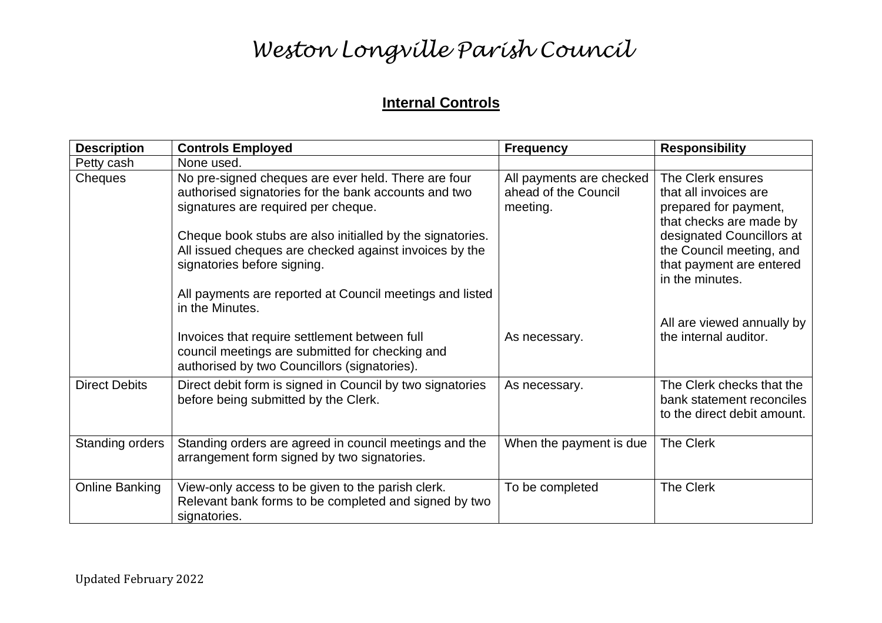#### **Internal Controls**

| <b>Description</b>     | <b>Controls Employed</b>                                                                                                                                                                                                                                                                                 | <b>Frequency</b>                                             | <b>Responsibility</b>                                                                                                                                                                                  |
|------------------------|----------------------------------------------------------------------------------------------------------------------------------------------------------------------------------------------------------------------------------------------------------------------------------------------------------|--------------------------------------------------------------|--------------------------------------------------------------------------------------------------------------------------------------------------------------------------------------------------------|
| Petty cash             | None used.                                                                                                                                                                                                                                                                                               |                                                              |                                                                                                                                                                                                        |
| <b>Cheques</b>         | No pre-signed cheques are ever held. There are four<br>authorised signatories for the bank accounts and two<br>signatures are required per cheque.<br>Cheque book stubs are also initialled by the signatories.<br>All issued cheques are checked against invoices by the<br>signatories before signing. | All payments are checked<br>ahead of the Council<br>meeting. | The Clerk ensures<br>that all invoices are<br>prepared for payment,<br>that checks are made by<br>designated Councillors at<br>the Council meeting, and<br>that payment are entered<br>in the minutes. |
|                        | All payments are reported at Council meetings and listed<br>in the Minutes.                                                                                                                                                                                                                              |                                                              |                                                                                                                                                                                                        |
|                        | Invoices that require settlement between full<br>council meetings are submitted for checking and<br>authorised by two Councillors (signatories).                                                                                                                                                         | As necessary.                                                | All are viewed annually by<br>the internal auditor.                                                                                                                                                    |
| <b>Direct Debits</b>   | Direct debit form is signed in Council by two signatories<br>before being submitted by the Clerk.                                                                                                                                                                                                        | As necessary.                                                | The Clerk checks that the<br>bank statement reconciles<br>to the direct debit amount.                                                                                                                  |
| <b>Standing orders</b> | Standing orders are agreed in council meetings and the<br>arrangement form signed by two signatories.                                                                                                                                                                                                    | When the payment is due                                      | <b>The Clerk</b>                                                                                                                                                                                       |
| <b>Online Banking</b>  | View-only access to be given to the parish clerk.<br>Relevant bank forms to be completed and signed by two<br>signatories.                                                                                                                                                                               | To be completed                                              | <b>The Clerk</b>                                                                                                                                                                                       |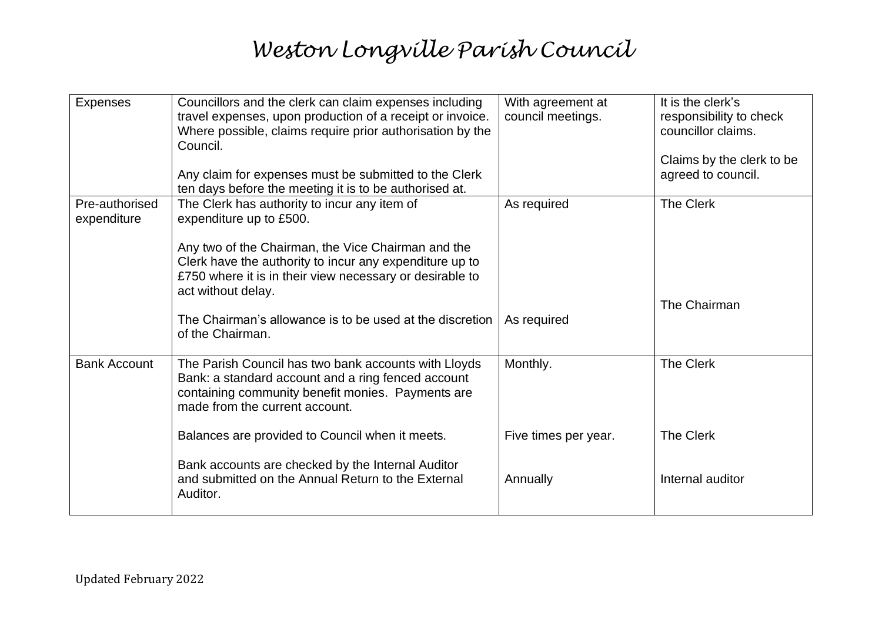| <b>Expenses</b>               | Councillors and the clerk can claim expenses including<br>travel expenses, upon production of a receipt or invoice.<br>Where possible, claims require prior authorisation by the<br>Council.<br>Any claim for expenses must be submitted to the Clerk<br>ten days before the meeting it is to be authorised at. | With agreement at<br>council meetings. | It is the clerk's<br>responsibility to check<br>councillor claims.<br>Claims by the clerk to be<br>agreed to council. |
|-------------------------------|-----------------------------------------------------------------------------------------------------------------------------------------------------------------------------------------------------------------------------------------------------------------------------------------------------------------|----------------------------------------|-----------------------------------------------------------------------------------------------------------------------|
| Pre-authorised<br>expenditure | The Clerk has authority to incur any item of<br>expenditure up to £500.<br>Any two of the Chairman, the Vice Chairman and the<br>Clerk have the authority to incur any expenditure up to<br>£750 where it is in their view necessary or desirable to<br>act without delay.                                      | As required                            | The Clerk                                                                                                             |
|                               | The Chairman's allowance is to be used at the discretion<br>of the Chairman.                                                                                                                                                                                                                                    | As required                            | The Chairman                                                                                                          |
| <b>Bank Account</b>           | The Parish Council has two bank accounts with Lloyds<br>Bank: a standard account and a ring fenced account<br>containing community benefit monies. Payments are<br>made from the current account.                                                                                                               | Monthly.                               | The Clerk                                                                                                             |
|                               | Balances are provided to Council when it meets.                                                                                                                                                                                                                                                                 | Five times per year.                   | The Clerk                                                                                                             |
|                               | Bank accounts are checked by the Internal Auditor<br>and submitted on the Annual Return to the External<br>Auditor.                                                                                                                                                                                             | Annually                               | Internal auditor                                                                                                      |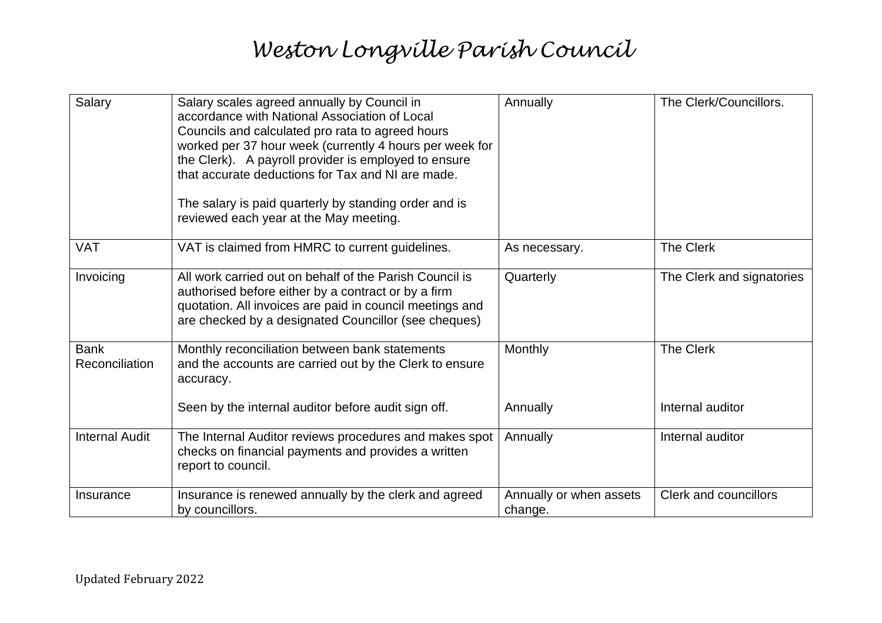| Salary                        | Salary scales agreed annually by Council in<br>accordance with National Association of Local<br>Councils and calculated pro rata to agreed hours<br>worked per 37 hour week (currently 4 hours per week for<br>the Clerk). A payroll provider is employed to ensure<br>that accurate deductions for Tax and NI are made.<br>The salary is paid quarterly by standing order and is<br>reviewed each year at the May meeting. | Annually                           | The Clerk/Councillors.        |
|-------------------------------|-----------------------------------------------------------------------------------------------------------------------------------------------------------------------------------------------------------------------------------------------------------------------------------------------------------------------------------------------------------------------------------------------------------------------------|------------------------------------|-------------------------------|
| <b>VAT</b>                    | VAT is claimed from HMRC to current guidelines.                                                                                                                                                                                                                                                                                                                                                                             | As necessary.                      | The Clerk                     |
| Invoicing                     | All work carried out on behalf of the Parish Council is<br>authorised before either by a contract or by a firm<br>quotation. All invoices are paid in council meetings and<br>are checked by a designated Councillor (see cheques)                                                                                                                                                                                          | Quarterly                          | The Clerk and signatories     |
| <b>Bank</b><br>Reconciliation | Monthly reconciliation between bank statements<br>and the accounts are carried out by the Clerk to ensure<br>accuracy.<br>Seen by the internal auditor before audit sign off.                                                                                                                                                                                                                                               | <b>Monthly</b><br>Annually         | The Clerk<br>Internal auditor |
|                               |                                                                                                                                                                                                                                                                                                                                                                                                                             |                                    |                               |
| <b>Internal Audit</b>         | The Internal Auditor reviews procedures and makes spot<br>checks on financial payments and provides a written<br>report to council.                                                                                                                                                                                                                                                                                         | Annually                           | Internal auditor              |
| Insurance                     | Insurance is renewed annually by the clerk and agreed<br>by councillors.                                                                                                                                                                                                                                                                                                                                                    | Annually or when assets<br>change. | <b>Clerk and councillors</b>  |